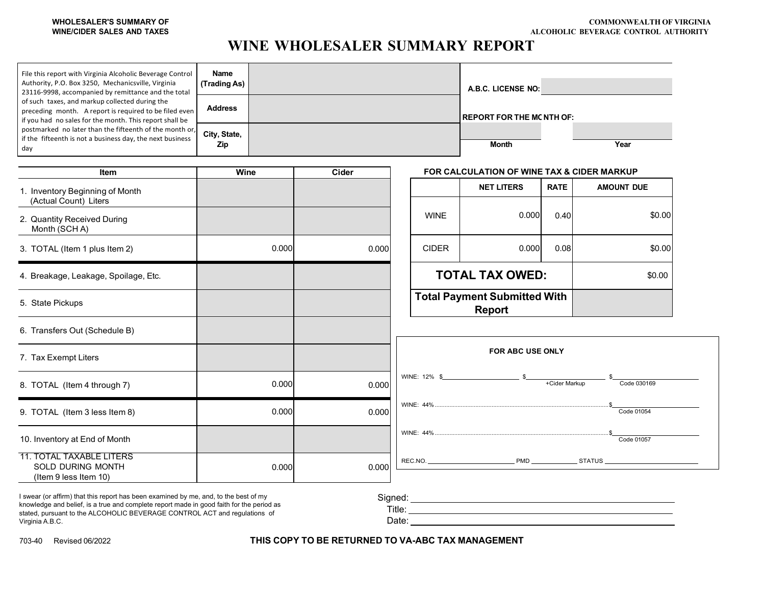## **WHOLESALER'S SUMMARY OF WINE/CIDER SALES AND TAXES**

## **WINE WHOLESALER SUMMARY REPORT**

| File this report with Virginia Alcoholic Beverage Control<br>Authority, P.O. Box 3250, Mechanicsville, Virginia<br>23116-9998, accompanied by remittance and the total | Name<br>(Trading As) |       |       |       |                                                      |              | A.B.C. LICENSE NO: A.B.C. LICENSE NO:      |             |                   |
|------------------------------------------------------------------------------------------------------------------------------------------------------------------------|----------------------|-------|-------|-------|------------------------------------------------------|--------------|--------------------------------------------|-------------|-------------------|
| of such taxes, and markup collected during the<br>preceding month. A report is required to be filed even<br>if you had no sales for the month. This report shall be    | <b>Address</b>       |       |       |       |                                                      |              | <b>REPORT FOR THE MC NTH OF:</b>           |             |                   |
| postmarked no later than the fifteenth of the month or,<br>if the fifteenth is not a business day, the next business<br>day                                            | City, State,<br>Zip  |       |       |       |                                                      |              | Month                                      |             | Year              |
| Item                                                                                                                                                                   | Wine                 |       | Cider |       |                                                      |              | FOR CALCULATION OF WINE TAX & CIDER MARKUP |             |                   |
| 1. Inventory Beginning of Month<br>(Actual Count) Liters                                                                                                               |                      |       |       |       |                                                      |              | <b>NET LITERS</b>                          | <b>RATE</b> | <b>AMOUNT DUE</b> |
| 2. Quantity Received During<br>Month (SCHA)                                                                                                                            |                      |       |       |       |                                                      | <b>WINE</b>  | 0.000                                      | 0.40        | \$0.00            |
| 3. TOTAL (Item 1 plus Item 2)                                                                                                                                          |                      | 0.000 |       | 0.000 |                                                      | <b>CIDER</b> | 0.000                                      | 0.08        | \$0.00            |
| 4. Breakage, Leakage, Spoilage, Etc.                                                                                                                                   |                      |       |       |       | <b>TOTAL TAX OWED:</b>                               |              | \$0.00                                     |             |                   |
| 5. State Pickups                                                                                                                                                       |                      |       |       |       | <b>Total Payment Submitted With</b><br><b>Report</b> |              |                                            |             |                   |
| 6. Transfers Out (Schedule B)                                                                                                                                          |                      |       |       |       |                                                      |              |                                            |             |                   |
| 7. Tax Exempt Liters                                                                                                                                                   |                      |       |       |       |                                                      |              | <b>FOR ABC USE ONLY</b>                    |             |                   |
| 8. TOTAL (Item 4 through 7)                                                                                                                                            |                      | 0.000 |       | 0.000 |                                                      |              |                                            |             | Code 030169       |
| 9. TOTAL (Item 3 less Item 8)                                                                                                                                          |                      | 0.000 |       | 0.000 |                                                      |              |                                            |             | Code 01054        |
| 10. Inventory at End of Month                                                                                                                                          |                      |       |       |       |                                                      |              |                                            |             | Code 01057        |
| <b>11. TOTAL TAXABLE LITERS</b><br>SOLD DURING MONTH<br>(Item 9 less Item 10)                                                                                          |                      | 0.000 |       | 0.000 |                                                      |              |                                            |             |                   |

knowledge and belief, is a true and complete report made in good faith for the period as stated, pursuant to the ALCOHOLIC BEVERAGE CONTROL ACT and regulations of Virginia A.B.C.

Title: Date:

703-40 Revised 06/2022 **THIS COPY TO BE RETURNED TO VA-ABC TAX MANAGEMENT**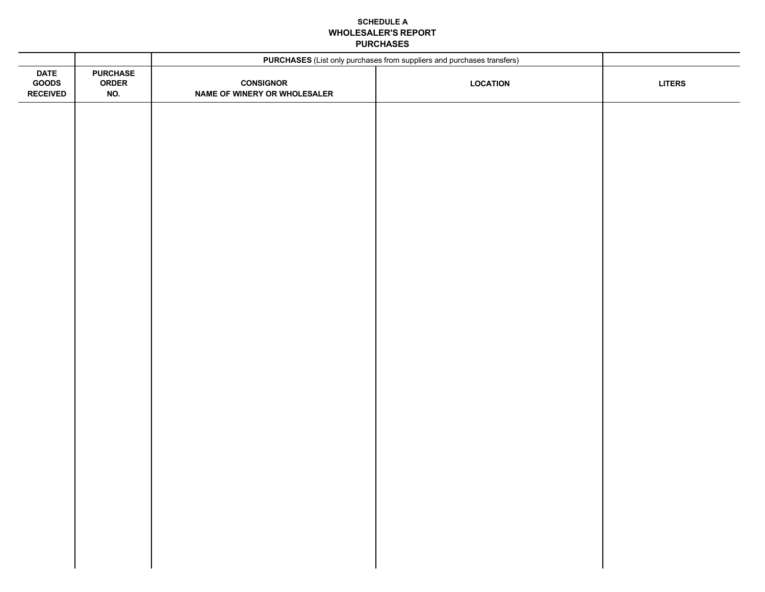## **SCHEDULE A WHOLESALER'S REPORT PURCHASES**

|                                         |                                        | PURCHASES (List only purchases from suppliers and purchases transfers) |                 |               |
|-----------------------------------------|----------------------------------------|------------------------------------------------------------------------|-----------------|---------------|
| <b>DATE</b><br>GOODS<br><b>RECEIVED</b> | <b>PURCHASE</b><br><b>ORDER</b><br>NO. | <b>CONSIGNOR</b><br>NAME OF WINERY OR WHOLESALER                       | <b>LOCATION</b> | <b>LITERS</b> |
|                                         |                                        |                                                                        |                 |               |
|                                         |                                        |                                                                        |                 |               |
|                                         |                                        |                                                                        |                 |               |
|                                         |                                        |                                                                        |                 |               |
|                                         |                                        |                                                                        |                 |               |
|                                         |                                        |                                                                        |                 |               |
|                                         |                                        |                                                                        |                 |               |
|                                         |                                        |                                                                        |                 |               |
|                                         |                                        |                                                                        |                 |               |
|                                         |                                        |                                                                        |                 |               |
|                                         |                                        |                                                                        |                 |               |
|                                         |                                        |                                                                        |                 |               |
|                                         |                                        |                                                                        |                 |               |
|                                         |                                        |                                                                        |                 |               |